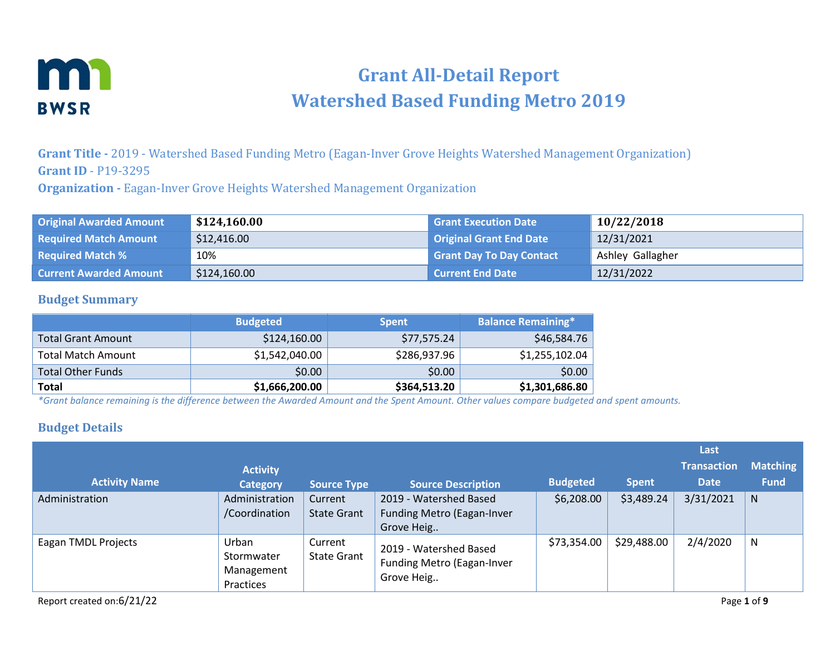

# **Grant All-Detail Report Watershed Based Funding Metro 2019**

**Grant Title -** 2019 - Watershed Based Funding Metro (Eagan-Inver Grove Heights Watershed Management Organization) **Grant ID** - P19-3295

**Organization -** Eagan-Inver Grove Heights Watershed Management Organization

| <b>Original Awarded Amount</b> | \$124,160.00 | <b>Grant Execution Date</b>     | 10/22/2018       |
|--------------------------------|--------------|---------------------------------|------------------|
| <b>Required Match Amount</b>   | \$12,416.00  | <b>Original Grant End Date</b>  | 12/31/2021       |
| <b>Required Match %</b>        | 10%          | <b>Grant Day To Day Contact</b> | Ashley Gallagher |
| <b>Current Awarded Amount</b>  | \$124,160.00 | <b>Current End Date</b>         | 12/31/2022       |

#### **Budget Summary**

|                           | <b>Budgeted</b> | <b>Spent</b> | <b>Balance Remaining*</b> |
|---------------------------|-----------------|--------------|---------------------------|
| <b>Total Grant Amount</b> | \$124,160.00    | \$77,575.24  | \$46,584.76               |
| <b>Total Match Amount</b> | \$1,542,040.00  | \$286,937.96 | \$1,255,102.04            |
| <b>Total Other Funds</b>  | \$0.00          | \$0.00       | \$0.00                    |
| <b>Total</b>              | \$1,666,200.00  | \$364,513.20 | \$1,301,686.80            |

*\*Grant balance remaining is the difference between the Awarded Amount and the Spent Amount. Other values compare budgeted and spent amounts.*

#### **Budget Details**

|                      |                                                |                               |                                                                           |                 |              | Last               |                 |
|----------------------|------------------------------------------------|-------------------------------|---------------------------------------------------------------------------|-----------------|--------------|--------------------|-----------------|
|                      | <b>Activity</b>                                |                               |                                                                           |                 |              | <b>Transaction</b> | <b>Matching</b> |
| <b>Activity Name</b> | <b>Category</b>                                | <b>Source Type</b>            | <b>Source Description</b>                                                 | <b>Budgeted</b> | <b>Spent</b> | <b>Date</b>        | <b>Fund</b>     |
| Administration       | Administration<br>/Coordination                | Current<br>State Grant        | 2019 - Watershed Based<br><b>Funding Metro (Eagan-Inver</b><br>Grove Heig | \$6,208.00      | \$3,489.24   | 3/31/2021          | $\mathsf{N}$    |
| Eagan TMDL Projects  | Urban<br>Stormwater<br>Management<br>Practices | Current<br><b>State Grant</b> | 2019 - Watershed Based<br><b>Funding Metro (Eagan-Inver</b><br>Grove Heig | \$73,354.00     | \$29,488.00  | 2/4/2020           | N               |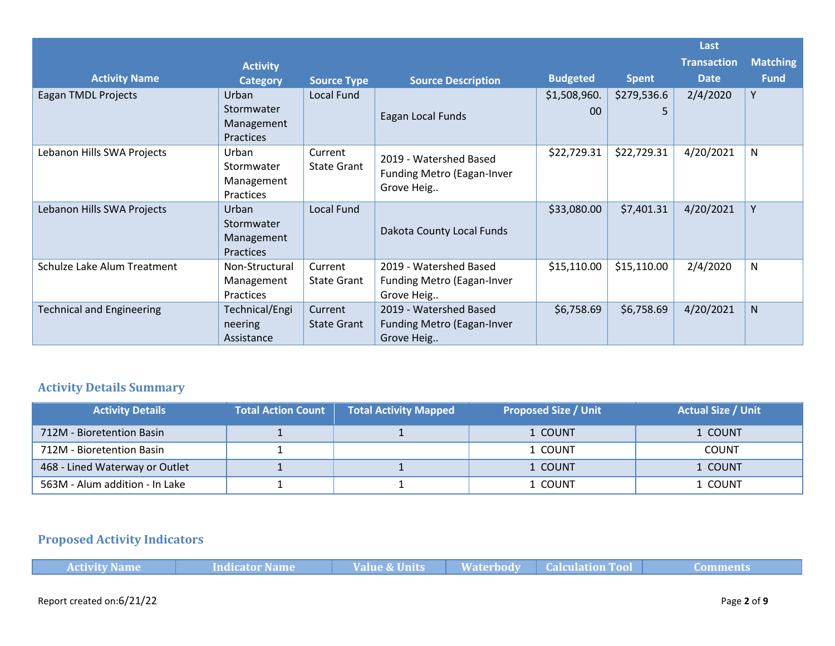|                                  |                                                       |                               |                                                                           |                    |                  | Last               |                 |
|----------------------------------|-------------------------------------------------------|-------------------------------|---------------------------------------------------------------------------|--------------------|------------------|--------------------|-----------------|
|                                  | <b>Activity</b>                                       |                               |                                                                           |                    |                  | <b>Transaction</b> | <b>Matching</b> |
| <b>Activity Name</b>             | <b>Category</b>                                       | <b>Source Type</b>            | <b>Source Description</b>                                                 | <b>Budgeted</b>    | <b>Spent</b>     | <b>Date</b>        | <b>Fund</b>     |
| Eagan TMDL Projects              | Urban<br>Stormwater<br>Management<br><b>Practices</b> | Local Fund                    | Eagan Local Funds                                                         | \$1,508,960.<br>00 | \$279,536.6<br>5 | 2/4/2020           | Y               |
| Lebanon Hills SWA Projects       | Urban<br>Stormwater<br>Management<br>Practices        | Current<br>State Grant        | 2019 - Watershed Based<br>Funding Metro (Eagan-Inver<br>Grove Heig        | \$22,729.31        | \$22,729.31      | 4/20/2021          | N               |
| Lebanon Hills SWA Projects       | Urban<br>Stormwater<br>Management<br>Practices        | Local Fund                    | Dakota County Local Funds                                                 | \$33,080.00        | \$7,401.31       | 4/20/2021          | Y               |
| Schulze Lake Alum Treatment      | Non-Structural<br>Management<br>Practices             | Current<br><b>State Grant</b> | 2019 - Watershed Based<br>Funding Metro (Eagan-Inver<br>Grove Heig        | \$15,110.00        | \$15,110.00      | 2/4/2020           | N               |
| <b>Technical and Engineering</b> | Technical/Engi<br>neering<br>Assistance               | Current<br><b>State Grant</b> | 2019 - Watershed Based<br><b>Funding Metro (Eagan-Inver</b><br>Grove Heig | \$6,758.69         | \$6,758.69       | 4/20/2021          | N               |

## **Activity Details Summary**

| <b>Activity Details</b>        | <b>Total Action Count</b> | <b>Total Activity Mapped</b> | Proposed Size / Unit 1 | <b>Actual Size / Unit</b> |
|--------------------------------|---------------------------|------------------------------|------------------------|---------------------------|
| 712M - Bioretention Basin      |                           |                              | 1 COUNT                | 1 COUNT                   |
| 712M - Bioretention Basin      |                           |                              | 1 COUNT                | <b>COUNT</b>              |
| 468 - Lined Waterway or Outlet |                           |                              | 1 COUNT                | 1 COUNT                   |
| 563M - Alum addition - In Lake |                           |                              | 1 COUNT                | . COUNT                   |

# **Proposed Activity Indicators**

| <b>Activity Name</b> | Indicator Name | <b>Value &amp; Units</b> | <b>Waterbody</b> | <b>Calculation Tool</b> | ----------<br>Lomments |
|----------------------|----------------|--------------------------|------------------|-------------------------|------------------------|
|                      |                |                          |                  |                         |                        |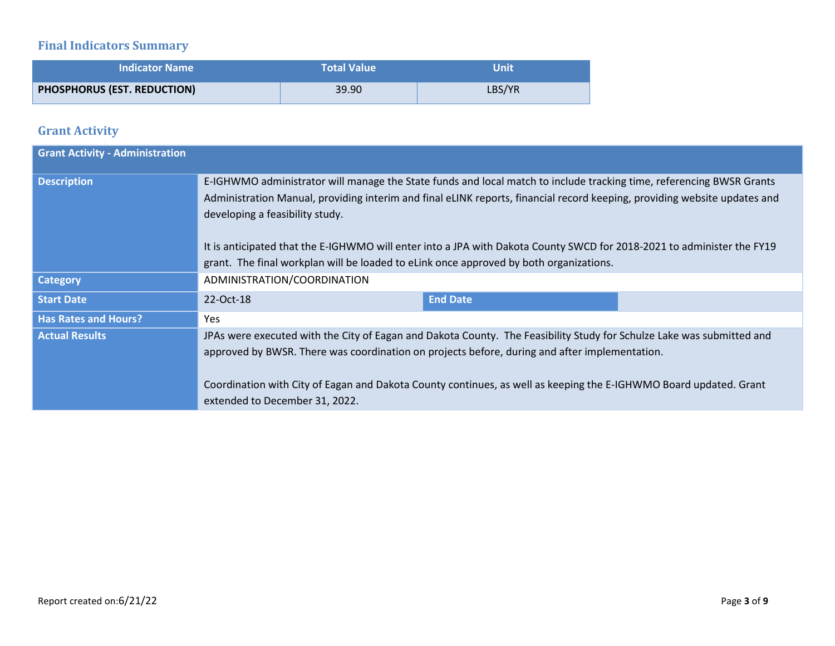# **Final Indicators Summary**

| <b>Indicator Name</b>       | <b>Total Value</b> | Unit   |
|-----------------------------|--------------------|--------|
| PHOSPHORUS (EST. REDUCTION) | 39.90              | LBS/YR |

## **Grant Activity**

| <b>Grant Activity - Administration</b> |                                                                                                                                                                                                                                                                                                                                                                                                                                                                                                          |                 |  |
|----------------------------------------|----------------------------------------------------------------------------------------------------------------------------------------------------------------------------------------------------------------------------------------------------------------------------------------------------------------------------------------------------------------------------------------------------------------------------------------------------------------------------------------------------------|-----------------|--|
| <b>Description</b>                     | E-IGHWMO administrator will manage the State funds and local match to include tracking time, referencing BWSR Grants<br>Administration Manual, providing interim and final eLINK reports, financial record keeping, providing website updates and<br>developing a feasibility study.<br>It is anticipated that the E-IGHWMO will enter into a JPA with Dakota County SWCD for 2018-2021 to administer the FY19<br>grant. The final workplan will be loaded to eLink once approved by both organizations. |                 |  |
| <b>Category</b>                        | ADMINISTRATION/COORDINATION                                                                                                                                                                                                                                                                                                                                                                                                                                                                              |                 |  |
| <b>Start Date</b>                      | 22-Oct-18                                                                                                                                                                                                                                                                                                                                                                                                                                                                                                | <b>End Date</b> |  |
| <b>Has Rates and Hours?</b>            | Yes                                                                                                                                                                                                                                                                                                                                                                                                                                                                                                      |                 |  |
| <b>Actual Results</b>                  | JPAs were executed with the City of Eagan and Dakota County. The Feasibility Study for Schulze Lake was submitted and<br>approved by BWSR. There was coordination on projects before, during and after implementation.<br>Coordination with City of Eagan and Dakota County continues, as well as keeping the E-IGHWMO Board updated. Grant<br>extended to December 31, 2022.                                                                                                                            |                 |  |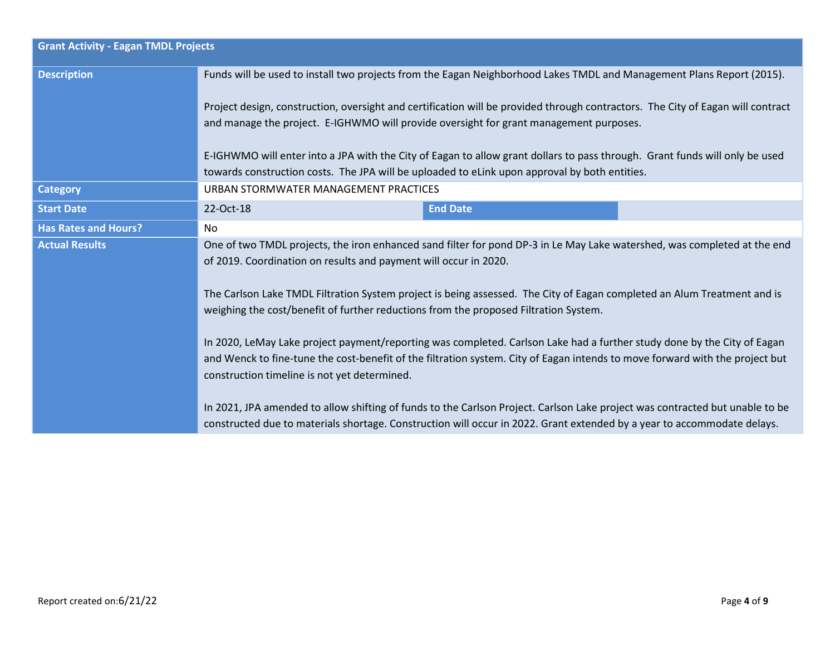| <b>Grant Activity - Eagan TMDL Projects</b> |                                                                                                                                                                                                                                                                                                                                                                                                                                                                                                                                            |                                                                                                                                                                                                                                                                                                                                                                                                                                                                                   |  |  |  |  |
|---------------------------------------------|--------------------------------------------------------------------------------------------------------------------------------------------------------------------------------------------------------------------------------------------------------------------------------------------------------------------------------------------------------------------------------------------------------------------------------------------------------------------------------------------------------------------------------------------|-----------------------------------------------------------------------------------------------------------------------------------------------------------------------------------------------------------------------------------------------------------------------------------------------------------------------------------------------------------------------------------------------------------------------------------------------------------------------------------|--|--|--|--|
| <b>Description</b>                          |                                                                                                                                                                                                                                                                                                                                                                                                                                                                                                                                            | Funds will be used to install two projects from the Eagan Neighborhood Lakes TMDL and Management Plans Report (2015).<br>Project design, construction, oversight and certification will be provided through contractors. The City of Eagan will contract<br>and manage the project. E-IGHWMO will provide oversight for grant management purposes.<br>E-IGHWMO will enter into a JPA with the City of Eagan to allow grant dollars to pass through. Grant funds will only be used |  |  |  |  |
|                                             | towards construction costs. The JPA will be uploaded to eLink upon approval by both entities.                                                                                                                                                                                                                                                                                                                                                                                                                                              |                                                                                                                                                                                                                                                                                                                                                                                                                                                                                   |  |  |  |  |
| <b>Category</b>                             | URBAN STORMWATER MANAGEMENT PRACTICES                                                                                                                                                                                                                                                                                                                                                                                                                                                                                                      |                                                                                                                                                                                                                                                                                                                                                                                                                                                                                   |  |  |  |  |
| <b>Start Date</b>                           | 22-Oct-18                                                                                                                                                                                                                                                                                                                                                                                                                                                                                                                                  | <b>End Date</b>                                                                                                                                                                                                                                                                                                                                                                                                                                                                   |  |  |  |  |
| <b>Has Rates and Hours?</b>                 | No.                                                                                                                                                                                                                                                                                                                                                                                                                                                                                                                                        |                                                                                                                                                                                                                                                                                                                                                                                                                                                                                   |  |  |  |  |
| <b>Actual Results</b>                       | One of two TMDL projects, the iron enhanced sand filter for pond DP-3 in Le May Lake watershed, was completed at the end<br>of 2019. Coordination on results and payment will occur in 2020.<br>The Carlson Lake TMDL Filtration System project is being assessed. The City of Eagan completed an Alum Treatment and is<br>weighing the cost/benefit of further reductions from the proposed Filtration System.<br>In 2020, LeMay Lake project payment/reporting was completed. Carlson Lake had a further study done by the City of Eagan |                                                                                                                                                                                                                                                                                                                                                                                                                                                                                   |  |  |  |  |
|                                             | and Wenck to fine-tune the cost-benefit of the filtration system. City of Eagan intends to move forward with the project but<br>construction timeline is not yet determined.<br>In 2021, JPA amended to allow shifting of funds to the Carlson Project. Carlson Lake project was contracted but unable to be<br>constructed due to materials shortage. Construction will occur in 2022. Grant extended by a year to accommodate delays.                                                                                                    |                                                                                                                                                                                                                                                                                                                                                                                                                                                                                   |  |  |  |  |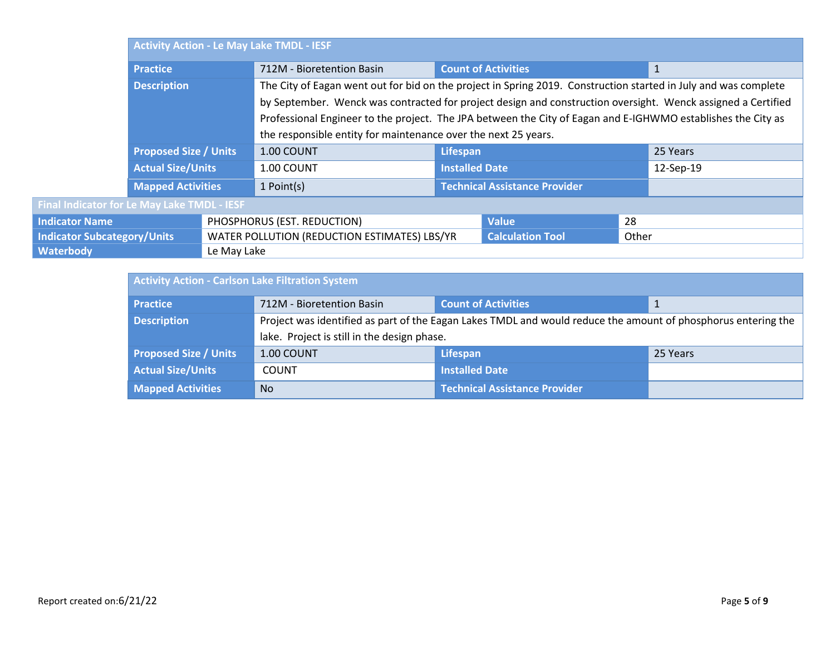|                                    | <b>Activity Action - Le May Lake TMDL - IESF</b> |                                                                                                              |                                                                                                                 |                                      |              |              |           |
|------------------------------------|--------------------------------------------------|--------------------------------------------------------------------------------------------------------------|-----------------------------------------------------------------------------------------------------------------|--------------------------------------|--------------|--------------|-----------|
|                                    | <b>Practice</b>                                  |                                                                                                              | 712M - Bioretention Basin                                                                                       | <b>Count of Activities</b>           |              | $\mathbf{1}$ |           |
|                                    | <b>Description</b>                               |                                                                                                              | The City of Eagan went out for bid on the project in Spring 2019. Construction started in July and was complete |                                      |              |              |           |
|                                    |                                                  |                                                                                                              | by September. Wenck was contracted for project design and construction oversight. Wenck assigned a Certified    |                                      |              |              |           |
|                                    |                                                  | Professional Engineer to the project. The JPA between the City of Eagan and E-IGHWMO establishes the City as |                                                                                                                 |                                      |              |              |           |
|                                    |                                                  |                                                                                                              | the responsible entity for maintenance over the next 25 years.                                                  |                                      |              |              |           |
|                                    | <b>Proposed Size / Units</b>                     |                                                                                                              | 1.00 COUNT                                                                                                      | Lifespan                             |              |              | 25 Years  |
|                                    | <b>Actual Size/Units</b>                         |                                                                                                              | 1.00 COUNT                                                                                                      | <b>Installed Date</b>                |              |              | 12-Sep-19 |
|                                    | <b>Mapped Activities</b>                         |                                                                                                              | 1 Point(s)                                                                                                      | <b>Technical Assistance Provider</b> |              |              |           |
|                                    | Final Indicator for Le May Lake TMDL - IESF      |                                                                                                              |                                                                                                                 |                                      |              |              |           |
| <b>Indicator Name</b>              |                                                  |                                                                                                              | PHOSPHORUS (EST. REDUCTION)                                                                                     |                                      | <b>Value</b> | 28           |           |
| <b>Indicator Subcategory/Units</b> |                                                  | WATER POLLUTION (REDUCTION ESTIMATES) LBS/YR<br><b>Calculation Tool</b>                                      |                                                                                                                 |                                      | Other        |              |           |
| <b>Waterbody</b>                   |                                                  | Le May Lake                                                                                                  |                                                                                                                 |                                      |              |              |           |

| <b>Activity Action - Carlson Lake Filtration System</b> |                                                                                                               |                               |          |  |
|---------------------------------------------------------|---------------------------------------------------------------------------------------------------------------|-------------------------------|----------|--|
| <b>Practice</b>                                         | 712M - Bioretention Basin                                                                                     | <b>Count of Activities</b>    |          |  |
| <b>Description</b>                                      | Project was identified as part of the Eagan Lakes TMDL and would reduce the amount of phosphorus entering the |                               |          |  |
|                                                         | lake. Project is still in the design phase.                                                                   |                               |          |  |
| <b>Proposed Size / Units</b>                            | 1.00 COUNT                                                                                                    | <b>Lifespan</b>               | 25 Years |  |
| <b>Actual Size/Units</b>                                | <b>COUNT</b>                                                                                                  | <b>Installed Date</b>         |          |  |
| <b>Mapped Activities</b>                                | <b>No</b>                                                                                                     | Technical Assistance Provider |          |  |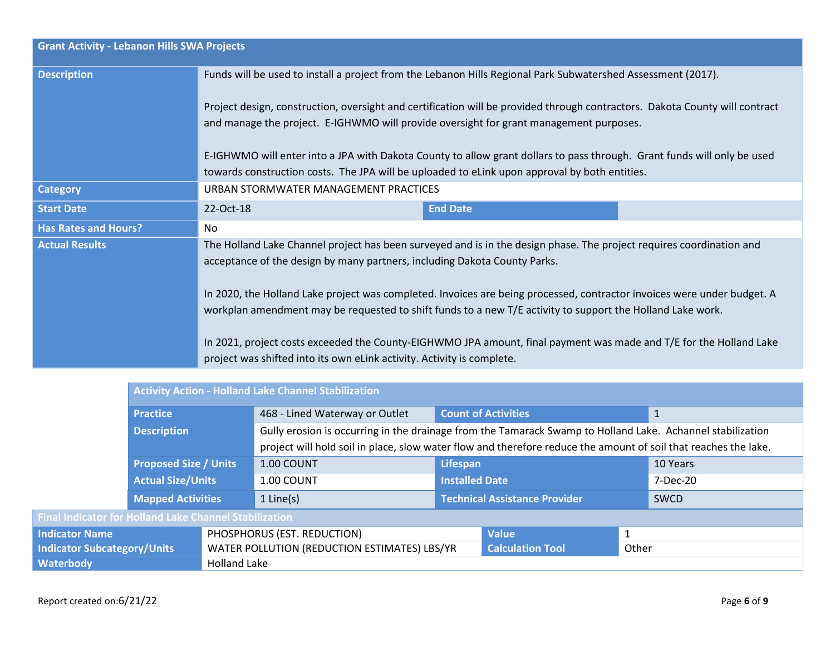| <b>Grant Activity - Lebanon Hills SWA Projects</b> |                                                                                                                                                                                                                                                                                                                                                                                                                                                                                                                                                                  |  |  |  |  |
|----------------------------------------------------|------------------------------------------------------------------------------------------------------------------------------------------------------------------------------------------------------------------------------------------------------------------------------------------------------------------------------------------------------------------------------------------------------------------------------------------------------------------------------------------------------------------------------------------------------------------|--|--|--|--|
| <b>Description</b>                                 | Funds will be used to install a project from the Lebanon Hills Regional Park Subwatershed Assessment (2017).                                                                                                                                                                                                                                                                                                                                                                                                                                                     |  |  |  |  |
|                                                    | Project design, construction, oversight and certification will be provided through contractors. Dakota County will contract<br>and manage the project. E-IGHWMO will provide oversight for grant management purposes.                                                                                                                                                                                                                                                                                                                                            |  |  |  |  |
|                                                    | E-IGHWMO will enter into a JPA with Dakota County to allow grant dollars to pass through. Grant funds will only be used<br>towards construction costs. The JPA will be uploaded to eLink upon approval by both entities.                                                                                                                                                                                                                                                                                                                                         |  |  |  |  |
| <b>Category</b>                                    | URBAN STORMWATER MANAGEMENT PRACTICES                                                                                                                                                                                                                                                                                                                                                                                                                                                                                                                            |  |  |  |  |
| <b>Start Date</b>                                  | <b>End Date</b><br>22-Oct-18                                                                                                                                                                                                                                                                                                                                                                                                                                                                                                                                     |  |  |  |  |
| <b>Has Rates and Hours?</b>                        | No                                                                                                                                                                                                                                                                                                                                                                                                                                                                                                                                                               |  |  |  |  |
| <b>Actual Results</b>                              | The Holland Lake Channel project has been surveyed and is in the design phase. The project requires coordination and<br>acceptance of the design by many partners, including Dakota County Parks.<br>In 2020, the Holland Lake project was completed. Invoices are being processed, contractor invoices were under budget. A<br>workplan amendment may be requested to shift funds to a new T/E activity to support the Holland Lake work.<br>In 2021, project costs exceeded the County-EIGHWMO JPA amount, final payment was made and T/E for the Holland Lake |  |  |  |  |
|                                                    | project was shifted into its own eLink activity. Activity is complete.                                                                                                                                                                                                                                                                                                                                                                                                                                                                                           |  |  |  |  |

|                                                               | <b>Activity Action - Holland Lake Channel Stabilization</b> |                             |                                                                                                                 |                                      |                         |             |              |
|---------------------------------------------------------------|-------------------------------------------------------------|-----------------------------|-----------------------------------------------------------------------------------------------------------------|--------------------------------------|-------------------------|-------------|--------------|
|                                                               | <b>Practice</b>                                             |                             | 468 - Lined Waterway or Outlet                                                                                  | <b>Count of Activities</b>           |                         |             | $\mathbf{1}$ |
|                                                               | <b>Description</b>                                          |                             | Gully erosion is occurring in the drainage from the Tamarack Swamp to Holland Lake. Achannel stabilization      |                                      |                         |             |              |
|                                                               |                                                             |                             | project will hold soil in place, slow water flow and therefore reduce the amount of soil that reaches the lake. |                                      |                         |             |              |
|                                                               | <b>Proposed Size / Units</b>                                |                             | 1.00 COUNT                                                                                                      | Lifespan                             |                         | 10 Years    |              |
|                                                               | <b>Actual Size/Units</b>                                    |                             | 1.00 COUNT                                                                                                      | <b>Installed Date</b>                |                         | 7-Dec-20    |              |
|                                                               | <b>Mapped Activities</b>                                    |                             | $1$ Line(s)                                                                                                     | <b>Technical Assistance Provider</b> |                         | <b>SWCD</b> |              |
| <b>Final Indicator for Holland Lake Channel Stabilization</b> |                                                             |                             |                                                                                                                 |                                      |                         |             |              |
| <b>Indicator Name</b>                                         |                                                             | PHOSPHORUS (EST. REDUCTION) |                                                                                                                 | <b>Value</b>                         |                         |             |              |
| <b>Indicator Subcategory/Units</b>                            |                                                             |                             | WATER POLLUTION (REDUCTION ESTIMATES) LBS/YR                                                                    |                                      | <b>Calculation Tool</b> | Other       |              |
| <b>Waterbody</b>                                              |                                                             | <b>Holland Lake</b>         |                                                                                                                 |                                      |                         |             |              |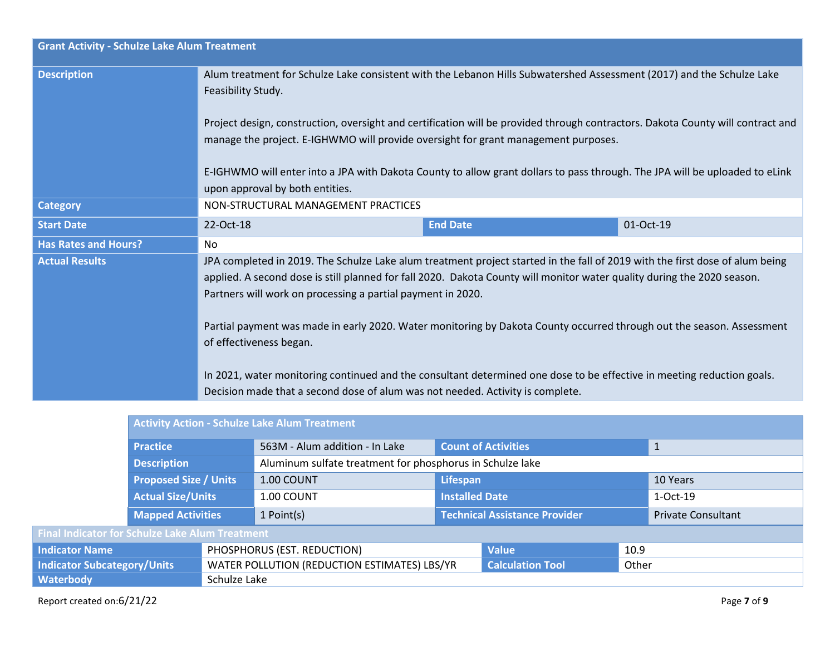| <b>Grant Activity - Schulze Lake Alum Treatment</b> |                                                                                                                                                                                                                                                                                                                                                                                                                                                                                                                                                                                                                                                                                        |                 |           |  |  |
|-----------------------------------------------------|----------------------------------------------------------------------------------------------------------------------------------------------------------------------------------------------------------------------------------------------------------------------------------------------------------------------------------------------------------------------------------------------------------------------------------------------------------------------------------------------------------------------------------------------------------------------------------------------------------------------------------------------------------------------------------------|-----------------|-----------|--|--|
| <b>Description</b>                                  | Alum treatment for Schulze Lake consistent with the Lebanon Hills Subwatershed Assessment (2017) and the Schulze Lake<br>Feasibility Study.                                                                                                                                                                                                                                                                                                                                                                                                                                                                                                                                            |                 |           |  |  |
|                                                     | Project design, construction, oversight and certification will be provided through contractors. Dakota County will contract and<br>manage the project. E-IGHWMO will provide oversight for grant management purposes.                                                                                                                                                                                                                                                                                                                                                                                                                                                                  |                 |           |  |  |
|                                                     | E-IGHWMO will enter into a JPA with Dakota County to allow grant dollars to pass through. The JPA will be uploaded to eLink<br>upon approval by both entities.                                                                                                                                                                                                                                                                                                                                                                                                                                                                                                                         |                 |           |  |  |
| <b>Category</b>                                     | NON-STRUCTURAL MANAGEMENT PRACTICES                                                                                                                                                                                                                                                                                                                                                                                                                                                                                                                                                                                                                                                    |                 |           |  |  |
| <b>Start Date</b>                                   | 22-Oct-18                                                                                                                                                                                                                                                                                                                                                                                                                                                                                                                                                                                                                                                                              | <b>End Date</b> | 01-Oct-19 |  |  |
| <b>Has Rates and Hours?</b>                         | No                                                                                                                                                                                                                                                                                                                                                                                                                                                                                                                                                                                                                                                                                     |                 |           |  |  |
| <b>Actual Results</b>                               | JPA completed in 2019. The Schulze Lake alum treatment project started in the fall of 2019 with the first dose of alum being<br>applied. A second dose is still planned for fall 2020. Dakota County will monitor water quality during the 2020 season.<br>Partners will work on processing a partial payment in 2020.<br>Partial payment was made in early 2020. Water monitoring by Dakota County occurred through out the season. Assessment<br>of effectiveness began.<br>In 2021, water monitoring continued and the consultant determined one dose to be effective in meeting reduction goals.<br>Decision made that a second dose of alum was not needed. Activity is complete. |                 |           |  |  |
|                                                     |                                                                                                                                                                                                                                                                                                                                                                                                                                                                                                                                                                                                                                                                                        |                 |           |  |  |

|                                                        | <b>Activity Action - Schulze Lake Alum Treatment</b> |                                              |                                                           |                                      |              |                           |
|--------------------------------------------------------|------------------------------------------------------|----------------------------------------------|-----------------------------------------------------------|--------------------------------------|--------------|---------------------------|
| <b>Practice</b>                                        |                                                      | 563M - Alum addition - In Lake               | <b>Count of Activities</b>                                |                                      | $\mathbf{1}$ |                           |
|                                                        | <b>Description</b>                                   |                                              | Aluminum sulfate treatment for phosphorus in Schulze lake |                                      |              |                           |
| <b>Proposed Size / Units</b>                           |                                                      | 1.00 COUNT                                   | Lifespan                                                  |                                      | 10 Years     |                           |
| <b>Actual Size/Units</b>                               |                                                      | 1.00 COUNT                                   | <b>Installed Date</b>                                     |                                      | 1-Oct-19     |                           |
|                                                        | <b>Mapped Activities</b>                             |                                              | 1 Point(s)                                                | <b>Technical Assistance Provider</b> |              | <b>Private Consultant</b> |
| <b>Final Indicator for Schulze Lake Alum Treatment</b> |                                                      |                                              |                                                           |                                      |              |                           |
| <b>Indicator Name</b>                                  |                                                      | PHOSPHORUS (EST. REDUCTION)                  |                                                           | <b>Value</b>                         | 10.9         |                           |
| <b>Indicator Subcategory/Units</b>                     |                                                      | WATER POLLUTION (REDUCTION ESTIMATES) LBS/YR |                                                           | <b>Calculation Tool</b>              | Other        |                           |
| Waterbody                                              |                                                      | Schulze Lake                                 |                                                           |                                      |              |                           |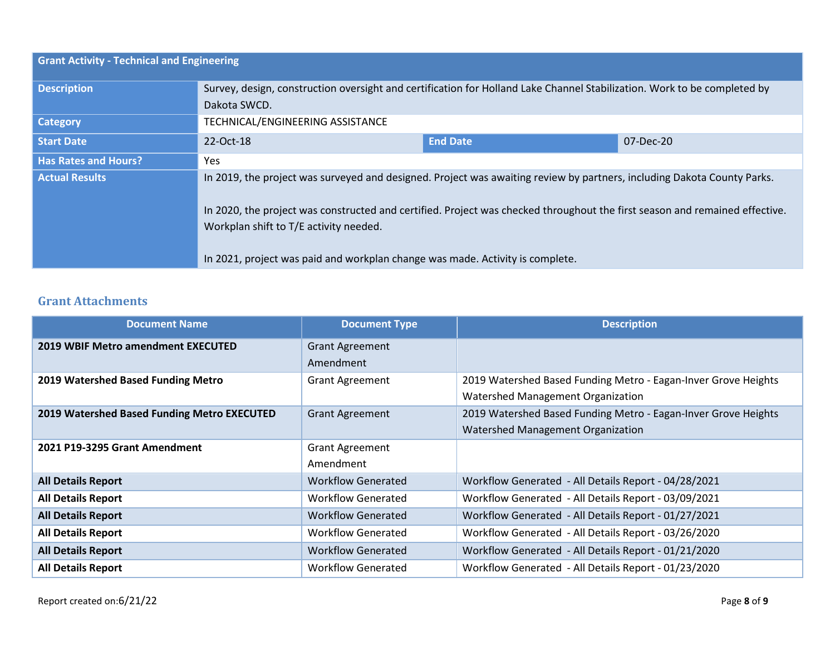| <b>Grant Activity - Technical and Engineering</b> |                                                                                                                                                                                                                                                                                                                                                                                   |                 |           |  |
|---------------------------------------------------|-----------------------------------------------------------------------------------------------------------------------------------------------------------------------------------------------------------------------------------------------------------------------------------------------------------------------------------------------------------------------------------|-----------------|-----------|--|
| <b>Description</b>                                | Survey, design, construction oversight and certification for Holland Lake Channel Stabilization. Work to be completed by<br>Dakota SWCD.                                                                                                                                                                                                                                          |                 |           |  |
| <b>Category</b>                                   | TECHNICAL/ENGINEERING ASSISTANCE                                                                                                                                                                                                                                                                                                                                                  |                 |           |  |
| <b>Start Date</b>                                 | 22-Oct-18                                                                                                                                                                                                                                                                                                                                                                         | <b>End Date</b> | 07-Dec-20 |  |
| <b>Has Rates and Hours?</b>                       | <b>Yes</b>                                                                                                                                                                                                                                                                                                                                                                        |                 |           |  |
| <b>Actual Results</b>                             | In 2019, the project was surveyed and designed. Project was awaiting review by partners, including Dakota County Parks.<br>In 2020, the project was constructed and certified. Project was checked throughout the first season and remained effective.<br>Workplan shift to T/E activity needed.<br>In 2021, project was paid and workplan change was made. Activity is complete. |                 |           |  |

### **Grant Attachments**

| <b>Document Name</b>                        | <b>Document Type</b>      | <b>Description</b>                                             |
|---------------------------------------------|---------------------------|----------------------------------------------------------------|
| 2019 WBIF Metro amendment EXECUTED          | <b>Grant Agreement</b>    |                                                                |
|                                             | Amendment                 |                                                                |
| 2019 Watershed Based Funding Metro          | <b>Grant Agreement</b>    | 2019 Watershed Based Funding Metro - Eagan-Inver Grove Heights |
|                                             |                           | Watershed Management Organization                              |
| 2019 Watershed Based Funding Metro EXECUTED | <b>Grant Agreement</b>    | 2019 Watershed Based Funding Metro - Eagan-Inver Grove Heights |
|                                             |                           | Watershed Management Organization                              |
| 2021 P19-3295 Grant Amendment               | <b>Grant Agreement</b>    |                                                                |
|                                             | Amendment                 |                                                                |
| <b>All Details Report</b>                   | <b>Workflow Generated</b> | Workflow Generated - All Details Report - 04/28/2021           |
| <b>All Details Report</b>                   | <b>Workflow Generated</b> | Workflow Generated - All Details Report - 03/09/2021           |
| <b>All Details Report</b>                   | <b>Workflow Generated</b> | Workflow Generated - All Details Report - 01/27/2021           |
| <b>All Details Report</b>                   | <b>Workflow Generated</b> | Workflow Generated - All Details Report - 03/26/2020           |
| <b>All Details Report</b>                   | <b>Workflow Generated</b> | Workflow Generated - All Details Report - 01/21/2020           |
| <b>All Details Report</b>                   | <b>Workflow Generated</b> | Workflow Generated - All Details Report - 01/23/2020           |